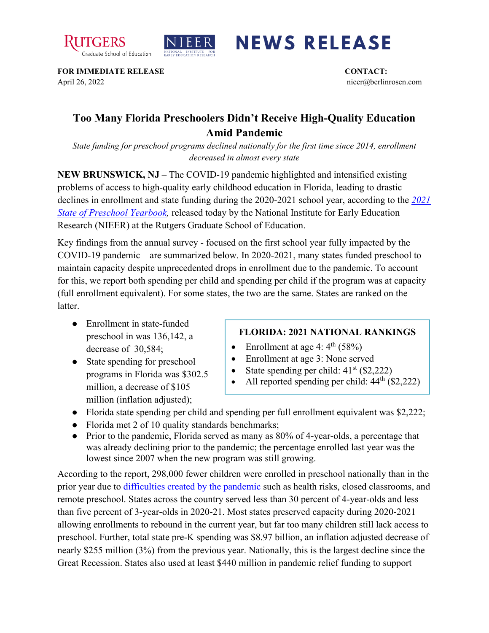



## **NEWS RELEASE**

**FOR IMMEDIATE RELEASE CONTACT:**  April 26, 2022 nieer@berlinrosen.com

## **Too Many Florida Preschoolers Didn't Receive High-Quality Education Amid Pandemic**

*State funding for preschool programs declined nationally for the first time since 2014, enrollment decreased in almost every state*

**NEW BRUNSWICK, NJ** – The COVID-19 pandemic highlighted and intensified existing problems of access to high-quality early childhood education in Florida, leading to drastic declines in enrollment and state funding during the 2020-2021 school year, according to the *[2021](https://nieer.org/state-preschool-yearbooks-yearbook2021)  [State of Preschool Yearbook,](https://nieer.org/state-preschool-yearbooks-yearbook2021)* released today by the National Institute for Early Education Research (NIEER) at the Rutgers Graduate School of Education.

Key findings from the annual survey - focused on the first school year fully impacted by the COVID-19 pandemic – are summarized below. In 2020-2021, many states funded preschool to maintain capacity despite unprecedented drops in enrollment due to the pandemic. To account for this, we report both spending per child and spending per child if the program was at capacity (full enrollment equivalent). For some states, the two are the same. States are ranked on the **latter** 

- Enrollment in state-funded preschool in was 136,142, a decrease of 30,584;
- State spending for preschool programs in Florida was \$302.5 million, a decrease of \$105 million (inflation adjusted);

## **FLORIDA: 2021 NATIONAL RANKINGS**

- Enrollment at age 4:  $4^{\text{th}}$  (58%)
- Enrollment at age 3: None served
- State spending per child:  $41<sup>st</sup>$  (\$2,222)
- All reported spending per child:  $44<sup>th</sup>$  (\$2,222)
- Florida state spending per child and spending per full enrollment equivalent was \$2,222;
- Florida met 2 of 10 quality standards benchmarks;
- Prior to the pandemic, Florida served as many as 80% of 4-year-olds, a percentage that was already declining prior to the pandemic; the percentage enrolled last year was the lowest since 2007 when the new program was still growing.

According to the report, 298,000 fewer children were enrolled in preschool nationally than in the prior year due to [difficulties created by the pandemic](https://nieer.org/wp-content/uploads/2021/02/NIEER_Seven_Impacts_of_the_Pandemic_on_Young_Children_and_their_Parents.pdf) such as health risks, closed classrooms, and remote preschool. States across the country served less than 30 percent of 4-year-olds and less than five percent of 3-year-olds in 2020-21. Most states preserved capacity during 2020-2021 allowing enrollments to rebound in the current year, but far too many children still lack access to preschool. Further, total state pre-K spending was \$8.97 billion, an inflation adjusted decrease of nearly \$255 million (3%) from the previous year. Nationally, this is the largest decline since the Great Recession. States also used at least \$440 million in pandemic relief funding to support